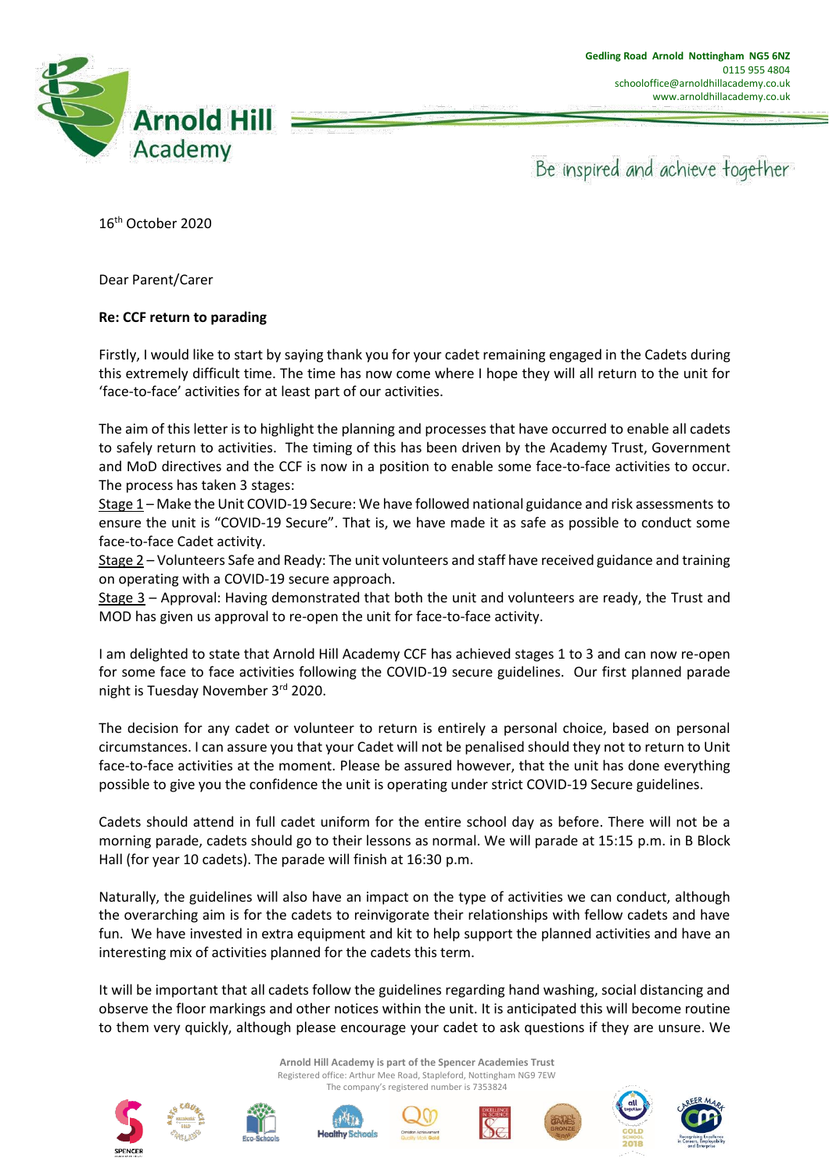

Be inspired and achieve together

16th October 2020

Dear Parent/Carer

## **Re: CCF return to parading**

Firstly, I would like to start by saying thank you for your cadet remaining engaged in the Cadets during this extremely difficult time. The time has now come where I hope they will all return to the unit for 'face-to-face' activities for at least part of our activities.

The aim of this letter is to highlight the planning and processes that have occurred to enable all cadets to safely return to activities. The timing of this has been driven by the Academy Trust, Government and MoD directives and the CCF is now in a position to enable some face-to-face activities to occur. The process has taken 3 stages:

Stage 1 – Make the Unit COVID-19 Secure: We have followed national guidance and risk assessments to ensure the unit is "COVID-19 Secure". That is, we have made it as safe as possible to conduct some face-to-face Cadet activity.

Stage 2 – Volunteers Safe and Ready: The unit volunteers and staff have received guidance and training on operating with a COVID-19 secure approach.

Stage 3 – Approval: Having demonstrated that both the unit and volunteers are ready, the Trust and MOD has given us approval to re-open the unit for face-to-face activity.

I am delighted to state that Arnold Hill Academy CCF has achieved stages 1 to 3 and can now re-open for some face to face activities following the COVID-19 secure guidelines. Our first planned parade night is Tuesday November 3rd 2020.

The decision for any cadet or volunteer to return is entirely a personal choice, based on personal circumstances. I can assure you that your Cadet will not be penalised should they not to return to Unit face-to-face activities at the moment. Please be assured however, that the unit has done everything possible to give you the confidence the unit is operating under strict COVID-19 Secure guidelines.

Cadets should attend in full cadet uniform for the entire school day as before. There will not be a morning parade, cadets should go to their lessons as normal. We will parade at 15:15 p.m. in B Block Hall (for year 10 cadets). The parade will finish at 16:30 p.m.

Naturally, the guidelines will also have an impact on the type of activities we can conduct, although the overarching aim is for the cadets to reinvigorate their relationships with fellow cadets and have fun. We have invested in extra equipment and kit to help support the planned activities and have an interesting mix of activities planned for the cadets this term.

It will be important that all cadets follow the guidelines regarding hand washing, social distancing and observe the floor markings and other notices within the unit. It is anticipated this will become routine to them very quickly, although please encourage your cadet to ask questions if they are unsure. We

> **Arnold Hill Academy is part of the Spencer Academies Trust** Registered office: Arthur Mee Road, Stapleford, Nottingham NG9 7EW The company's registered number is 7353824